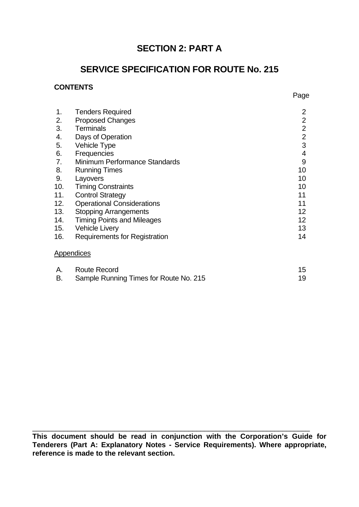# **SECTION 2: PART A**

# **SERVICE SPECIFICATION FOR ROUTE No. 215**

# **CONTENTS**

| 1.  | <b>Tenders Required</b>              | $\overline{2}$  |
|-----|--------------------------------------|-----------------|
| 2.  | <b>Proposed Changes</b>              | $\overline{2}$  |
| 3.  | <b>Terminals</b>                     | $\overline{2}$  |
| 4.  | Days of Operation                    | $\overline{2}$  |
| 5.  | Vehicle Type                         | 3               |
| 6.  | Frequencies                          | $\overline{4}$  |
| 7.  | Minimum Performance Standards        | 9               |
| 8.  | <b>Running Times</b>                 | 10              |
| 9.  | Layovers                             | 10              |
| 10. | <b>Timing Constraints</b>            | 10              |
| 11. | <b>Control Strategy</b>              | 11              |
| 12. | <b>Operational Considerations</b>    | 11              |
| 13. | <b>Stopping Arrangements</b>         | 12 <sup>2</sup> |
| 14. | <b>Timing Points and Mileages</b>    | 12 <sup>2</sup> |
| 15. | <b>Vehicle Livery</b>                | 13              |
| 16. | <b>Requirements for Registration</b> | 14              |
|     | Appendices                           |                 |

| A. | Route Record                           |  |
|----|----------------------------------------|--|
|    | Sample Running Times for Route No. 215 |  |

**This document should be read in conjunction with the Corporation's Guide for Tenderers (Part A: Explanatory Notes - Service Requirements). Where appropriate, reference is made to the relevant section.**

 $\_$  , and the contribution of the contribution of  $\overline{a}$  ,  $\overline{b}$  ,  $\overline{c}$  ,  $\overline{c}$  ,  $\overline{c}$  ,  $\overline{c}$  ,  $\overline{c}$  ,  $\overline{c}$  ,  $\overline{c}$  ,  $\overline{c}$  ,  $\overline{c}$  ,  $\overline{c}$  ,  $\overline{c}$  ,  $\overline{c}$  ,  $\overline{c}$  ,  $\overline{c$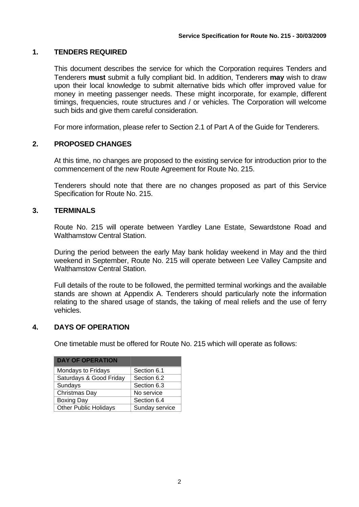# **1. TENDERS REQUIRED**

This document describes the service for which the Corporation requires Tenders and Tenderers **must** submit a fully compliant bid. In addition, Tenderers **may** wish to draw upon their local knowledge to submit alternative bids which offer improved value for money in meeting passenger needs. These might incorporate, for example, different timings, frequencies, route structures and / or vehicles. The Corporation will welcome such bids and give them careful consideration.

For more information, please refer to Section 2.1 of Part A of the Guide for Tenderers.

# **2. PROPOSED CHANGES**

At this time, no changes are proposed to the existing service for introduction prior to the commencement of the new Route Agreement for Route No. 215.

Tenderers should note that there are no changes proposed as part of this Service Specification for Route No. 215.

# **3. TERMINALS**

Route No. 215 will operate between Yardley Lane Estate, Sewardstone Road and Walthamstow Central Station.

During the period between the early May bank holiday weekend in May and the third weekend in September, Route No. 215 will operate between Lee Valley Campsite and Walthamstow Central Station.

Full details of the route to be followed, the permitted terminal workings and the available stands are shown at Appendix A. Tenderers should particularly note the information relating to the shared usage of stands, the taking of meal reliefs and the use of ferry vehicles.

# **4. DAYS OF OPERATION**

One timetable must be offered for Route No. 215 which will operate as follows:

| <b>DAY OF OPERATION</b>      |                |
|------------------------------|----------------|
| Mondays to Fridays           | Section 6.1    |
| Saturdays & Good Friday      | Section 6.2    |
| Sundays                      | Section 6.3    |
| Christmas Day                | No service     |
| <b>Boxing Day</b>            | Section 6.4    |
| <b>Other Public Holidays</b> | Sunday service |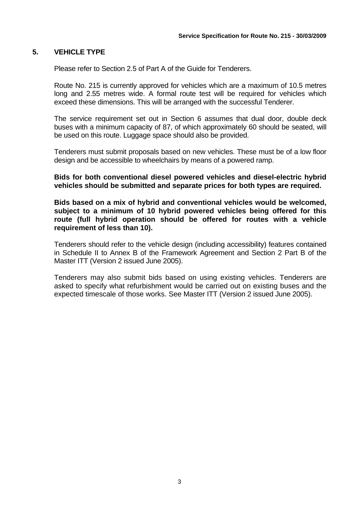# **5. VEHICLE TYPE**

Please refer to Section 2.5 of Part A of the Guide for Tenderers.

Route No. 215 is currently approved for vehicles which are a maximum of 10.5 metres long and 2.55 metres wide. A formal route test will be required for vehicles which exceed these dimensions. This will be arranged with the successful Tenderer.

The service requirement set out in Section 6 assumes that dual door, double deck buses with a minimum capacity of 87, of which approximately 60 should be seated, will be used on this route. Luggage space should also be provided.

Tenderers must submit proposals based on new vehicles. These must be of a low floor design and be accessible to wheelchairs by means of a powered ramp.

**Bids for both conventional diesel powered vehicles and diesel-electric hybrid vehicles should be submitted and separate prices for both types are required.** 

**Bids based on a mix of hybrid and conventional vehicles would be welcomed, subject to a minimum of 10 hybrid powered vehicles being offered for this route (full hybrid operation should be offered for routes with a vehicle requirement of less than 10).** 

Tenderers should refer to the vehicle design (including accessibility) features contained in Schedule II to Annex B of the Framework Agreement and Section 2 Part B of the Master ITT (Version 2 issued June 2005).

 Tenderers may also submit bids based on using existing vehicles. Tenderers are asked to specify what refurbishment would be carried out on existing buses and the expected timescale of those works. See Master ITT (Version 2 issued June 2005).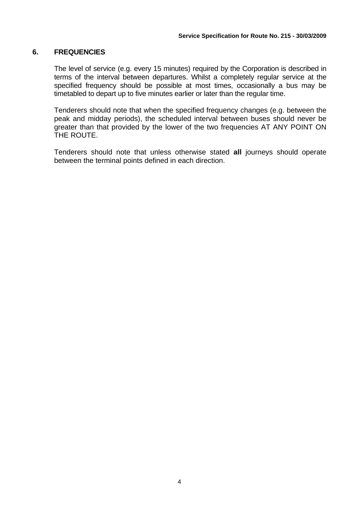# **6. FREQUENCIES**

The level of service (e.g. every 15 minutes) required by the Corporation is described in terms of the interval between departures. Whilst a completely regular service at the specified frequency should be possible at most times, occasionally a bus may be timetabled to depart up to five minutes earlier or later than the regular time.

Tenderers should note that when the specified frequency changes (e.g. between the peak and midday periods), the scheduled interval between buses should never be greater than that provided by the lower of the two frequencies AT ANY POINT ON THE ROUTE.

Tenderers should note that unless otherwise stated **all** journeys should operate between the terminal points defined in each direction.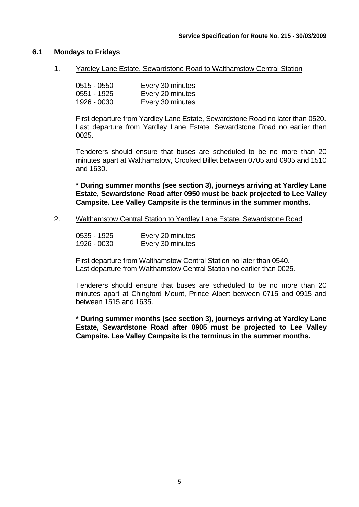#### **6.1 Mondays to Fridays**

1. Yardley Lane Estate, Sewardstone Road to Walthamstow Central Station

| $0515 - 0550$ | Every 30 minutes |
|---------------|------------------|
| $0551 - 1925$ | Every 20 minutes |
| 1926 - 0030   | Every 30 minutes |

First departure from Yardley Lane Estate, Sewardstone Road no later than 0520. Last departure from Yardley Lane Estate, Sewardstone Road no earlier than 0025.

Tenderers should ensure that buses are scheduled to be no more than 20 minutes apart at Walthamstow, Crooked Billet between 0705 and 0905 and 1510 and 1630.

**\* During summer months (see section 3), journeys arriving at Yardley Lane Estate, Sewardstone Road after 0950 must be back projected to Lee Valley Campsite. Lee Valley Campsite is the terminus in the summer months.** 

2. Walthamstow Central Station to Yardley Lane Estate, Sewardstone Road

| 0535 - 1925 | Every 20 minutes |
|-------------|------------------|
| 1926 - 0030 | Every 30 minutes |

First departure from Walthamstow Central Station no later than 0540. Last departure from Walthamstow Central Station no earlier than 0025.

Tenderers should ensure that buses are scheduled to be no more than 20 minutes apart at Chingford Mount, Prince Albert between 0715 and 0915 and between 1515 and 1635.

**\* During summer months (see section 3), journeys arriving at Yardley Lane Estate, Sewardstone Road after 0905 must be projected to Lee Valley Campsite. Lee Valley Campsite is the terminus in the summer months.**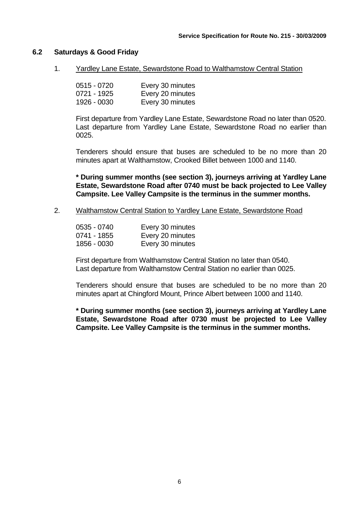## **6.2 Saturdays & Good Friday**

1. Yardley Lane Estate, Sewardstone Road to Walthamstow Central Station

| $0515 - 0720$ | Every 30 minutes |
|---------------|------------------|
| 0721 - 1925   | Every 20 minutes |
| 1926 - 0030   | Every 30 minutes |

First departure from Yardley Lane Estate, Sewardstone Road no later than 0520. Last departure from Yardley Lane Estate, Sewardstone Road no earlier than 0025.

Tenderers should ensure that buses are scheduled to be no more than 20 minutes apart at Walthamstow, Crooked Billet between 1000 and 1140.

**\* During summer months (see section 3), journeys arriving at Yardley Lane Estate, Sewardstone Road after 0740 must be back projected to Lee Valley Campsite. Lee Valley Campsite is the terminus in the summer months.** 

2. Walthamstow Central Station to Yardley Lane Estate, Sewardstone Road

| 0535 - 0740 | Every 30 minutes |
|-------------|------------------|
| 0741 - 1855 | Every 20 minutes |
| 1856 - 0030 | Every 30 minutes |

First departure from Walthamstow Central Station no later than 0540. Last departure from Walthamstow Central Station no earlier than 0025.

Tenderers should ensure that buses are scheduled to be no more than 20 minutes apart at Chingford Mount, Prince Albert between 1000 and 1140.

**\* During summer months (see section 3), journeys arriving at Yardley Lane Estate, Sewardstone Road after 0730 must be projected to Lee Valley Campsite. Lee Valley Campsite is the terminus in the summer months.**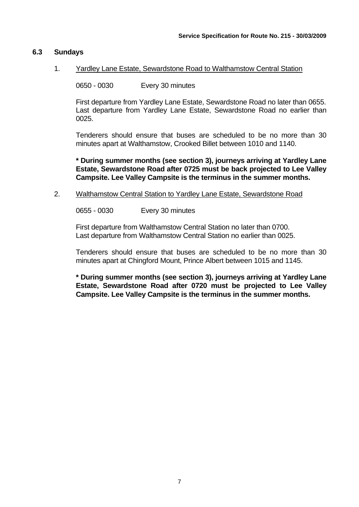# **6.3 Sundays**

# 1. Yardley Lane Estate, Sewardstone Road to Walthamstow Central Station

0650 - 0030 Every 30 minutes

First departure from Yardley Lane Estate, Sewardstone Road no later than 0655. Last departure from Yardley Lane Estate, Sewardstone Road no earlier than 0025.

Tenderers should ensure that buses are scheduled to be no more than 30 minutes apart at Walthamstow, Crooked Billet between 1010 and 1140.

**\* During summer months (see section 3), journeys arriving at Yardley Lane Estate, Sewardstone Road after 0725 must be back projected to Lee Valley Campsite. Lee Valley Campsite is the terminus in the summer months.** 

## 2. Walthamstow Central Station to Yardley Lane Estate, Sewardstone Road

0655 - 0030 Every 30 minutes

First departure from Walthamstow Central Station no later than 0700. Last departure from Walthamstow Central Station no earlier than 0025.

Tenderers should ensure that buses are scheduled to be no more than 30 minutes apart at Chingford Mount, Prince Albert between 1015 and 1145.

**\* During summer months (see section 3), journeys arriving at Yardley Lane Estate, Sewardstone Road after 0720 must be projected to Lee Valley Campsite. Lee Valley Campsite is the terminus in the summer months.**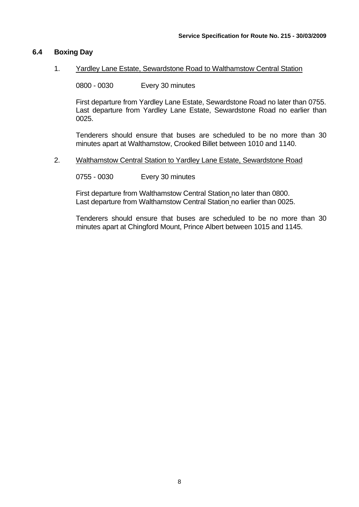## **6.4 Boxing Day**

#### 1. Yardley Lane Estate, Sewardstone Road to Walthamstow Central Station

0800 - 0030 Every 30 minutes

First departure from Yardley Lane Estate, Sewardstone Road no later than 0755. Last departure from Yardley Lane Estate, Sewardstone Road no earlier than 0025.

Tenderers should ensure that buses are scheduled to be no more than 30 minutes apart at Walthamstow, Crooked Billet between 1010 and 1140.

#### 2. Walthamstow Central Station to Yardley Lane Estate, Sewardstone Road

0755 - 0030 Every 30 minutes

First departure from Walthamstow Central Station no later than 0800. Last departure from Walthamstow Central Station no earlier than 0025.

Tenderers should ensure that buses are scheduled to be no more than 30 minutes apart at Chingford Mount, Prince Albert between 1015 and 1145.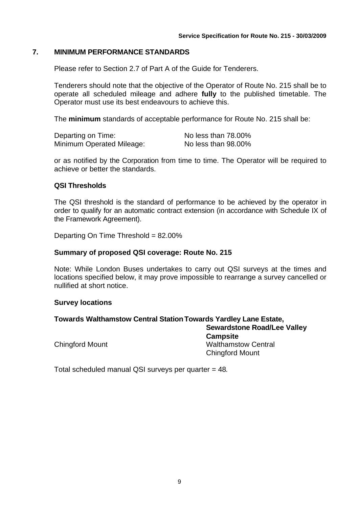# **7. MINIMUM PERFORMANCE STANDARDS**

Please refer to Section 2.7 of Part A of the Guide for Tenderers.

Tenderers should note that the objective of the Operator of Route No. 215 shall be to operate all scheduled mileage and adhere **fully** to the published timetable. The Operator must use its best endeavours to achieve this.

The **minimum** standards of acceptable performance for Route No. 215 shall be:

| Departing on Time:        | No less than 78.00% |
|---------------------------|---------------------|
| Minimum Operated Mileage: | No less than 98.00% |

or as notified by the Corporation from time to time. The Operator will be required to achieve or better the standards.

#### **QSI Thresholds**

The QSI threshold is the standard of performance to be achieved by the operator in order to qualify for an automatic contract extension (in accordance with Schedule IX of the Framework Agreement).

Departing On Time Threshold = 82.00%

#### **Summary of proposed QSI coverage: Route No. 215**

Note: While London Buses undertakes to carry out QSI surveys at the times and locations specified below, it may prove impossible to rearrange a survey cancelled or nullified at short notice.

#### **Survey locations**

# **Towards Walthamstow Central Station Towards Yardley Lane Estate,**

**Sewardstone Road/Lee Valley Campsite**  Chingford Mount Walthamstow Central Chingford Mount

Total scheduled manual QSI surveys per quarter = 48*.*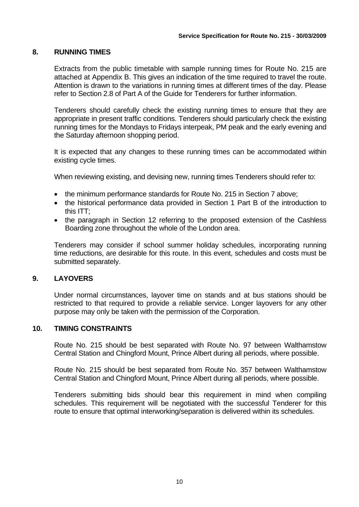# **8. RUNNING TIMES**

Extracts from the public timetable with sample running times for Route No. 215 are attached at Appendix B. This gives an indication of the time required to travel the route. Attention is drawn to the variations in running times at different times of the day. Please refer to Section 2.8 of Part A of the Guide for Tenderers for further information.

Tenderers should carefully check the existing running times to ensure that they are appropriate in present traffic conditions. Tenderers should particularly check the existing running times for the Mondays to Fridays interpeak, PM peak and the early evening and the Saturday afternoon shopping period.

It is expected that any changes to these running times can be accommodated within existing cycle times.

When reviewing existing, and devising new, running times Tenderers should refer to:

- the minimum performance standards for Route No. 215 in Section 7 above;
- the historical performance data provided in Section 1 Part B of the introduction to this ITT;
- the paragraph in Section 12 referring to the proposed extension of the Cashless Boarding zone throughout the whole of the London area.

Tenderers may consider if school summer holiday schedules, incorporating running time reductions, are desirable for this route. In this event, schedules and costs must be submitted separately.

# **9. LAYOVERS**

Under normal circumstances, layover time on stands and at bus stations should be restricted to that required to provide a reliable service. Longer layovers for any other purpose may only be taken with the permission of the Corporation.

#### **10. TIMING CONSTRAINTS**

Route No. 215 should be best separated with Route No. 97 between Walthamstow Central Station and Chingford Mount, Prince Albert during all periods, where possible.

Route No. 215 should be best separated from Route No. 357 between Walthamstow Central Station and Chingford Mount, Prince Albert during all periods, where possible.

Tenderers submitting bids should bear this requirement in mind when compiling schedules. This requirement will be negotiated with the successful Tenderer for this route to ensure that optimal interworking/separation is delivered within its schedules.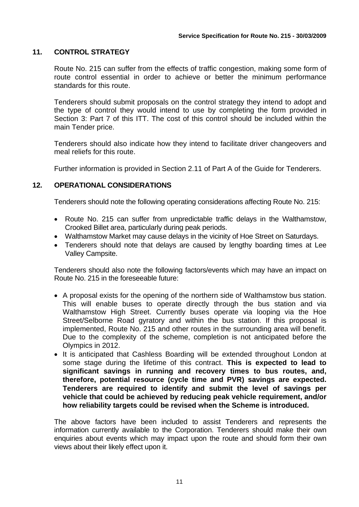# **11. CONTROL STRATEGY**

Route No. 215 can suffer from the effects of traffic congestion, making some form of route control essential in order to achieve or better the minimum performance standards for this route.

Tenderers should submit proposals on the control strategy they intend to adopt and the type of control they would intend to use by completing the form provided in Section 3: Part 7 of this ITT. The cost of this control should be included within the main Tender price.

Tenderers should also indicate how they intend to facilitate driver changeovers and meal reliefs for this route.

Further information is provided in Section 2.11 of Part A of the Guide for Tenderers.

# **12. OPERATIONAL CONSIDERATIONS**

Tenderers should note the following operating considerations affecting Route No. 215:

- Route No. 215 can suffer from unpredictable traffic delays in the Walthamstow, Crooked Billet area, particularly during peak periods.
- Walthamstow Market may cause delays in the vicinity of Hoe Street on Saturdays.
- Tenderers should note that delays are caused by lengthy boarding times at Lee Valley Campsite.

Tenderers should also note the following factors/events which may have an impact on Route No. 215 in the foreseeable future:

- A proposal exists for the opening of the northern side of Walthamstow bus station. This will enable buses to operate directly through the bus station and via Walthamstow High Street. Currently buses operate via looping via the Hoe Street/Selborne Road gyratory and within the bus station. If this proposal is implemented, Route No. 215 and other routes in the surrounding area will benefit. Due to the complexity of the scheme, completion is not anticipated before the Olympics in 2012.
- It is anticipated that Cashless Boarding will be extended throughout London at some stage during the lifetime of this contract. **This is expected to lead to significant savings in running and recovery times to bus routes, and, therefore, potential resource (cycle time and PVR) savings are expected. Tenderers are required to identify and submit the level of savings per vehicle that could be achieved by reducing peak vehicle requirement, and/or how reliability targets could be revised when the Scheme is introduced.**

The above factors have been included to assist Tenderers and represents the information currently available to the Corporation. Tenderers should make their own enquiries about events which may impact upon the route and should form their own views about their likely effect upon it.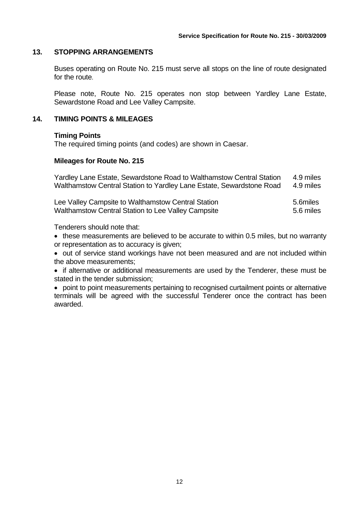## **13. STOPPING ARRANGEMENTS**

Buses operating on Route No. 215 must serve all stops on the line of route designated for the route.

Please note, Route No. 215 operates non stop between Yardley Lane Estate, Sewardstone Road and Lee Valley Campsite.

#### **14. TIMING POINTS & MILEAGES**

#### **Timing Points**

The required timing points (and codes) are shown in Caesar.

#### **Mileages for Route No. 215**

Yardley Lane Estate, Sewardstone Road to Walthamstow Central Station 4.9 miles Walthamstow Central Station to Yardley Lane Estate, Sewardstone Road 4.9 miles

| Lee Valley Campsite to Walthamstow Central Station | 5.6miles  |
|----------------------------------------------------|-----------|
| Walthamstow Central Station to Lee Valley Campsite | 5.6 miles |

Tenderers should note that:

• these measurements are believed to be accurate to within 0.5 miles, but no warranty or representation as to accuracy is given;

• out of service stand workings have not been measured and are not included within the above measurements;

• if alternative or additional measurements are used by the Tenderer, these must be stated in the tender submission;

• point to point measurements pertaining to recognised curtailment points or alternative terminals will be agreed with the successful Tenderer once the contract has been awarded.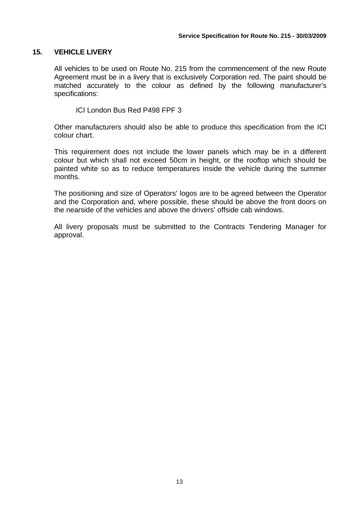# **15. VEHICLE LIVERY**

All vehicles to be used on Route No. 215 from the commencement of the new Route Agreement must be in a livery that is exclusively Corporation red. The paint should be matched accurately to the colour as defined by the following manufacturer's specifications:

ICI London Bus Red P498 FPF 3

Other manufacturers should also be able to produce this specification from the ICI colour chart.

This requirement does not include the lower panels which may be in a different colour but which shall not exceed 50cm in height, or the rooftop which should be painted white so as to reduce temperatures inside the vehicle during the summer months.

The positioning and size of Operators' logos are to be agreed between the Operator and the Corporation and, where possible, these should be above the front doors on the nearside of the vehicles and above the drivers' offside cab windows.

All livery proposals must be submitted to the Contracts Tendering Manager for approval.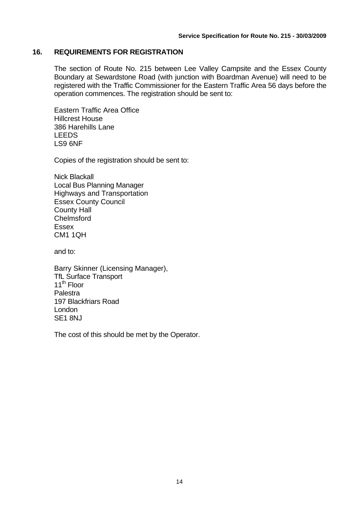# **16. REQUIREMENTS FOR REGISTRATION**

The section of Route No. 215 between Lee Valley Campsite and the Essex County Boundary at Sewardstone Road (with junction with Boardman Avenue) will need to be registered with the Traffic Commissioner for the Eastern Traffic Area 56 days before the operation commences. The registration should be sent to:

Eastern Traffic Area Office Hillcrest House 386 Harehills Lane LEEDS LS9 6NF

Copies of the registration should be sent to:

Nick Blackall Local Bus Planning Manager Highways and Transportation Essex County Council County Hall Chelmsford Essex CM1 1QH

and to:

Barry Skinner (Licensing Manager), TfL Surface Transport 11<sup>th</sup> Floor Palestra 197 Blackfriars Road London SE1 8NJ

The cost of this should be met by the Operator.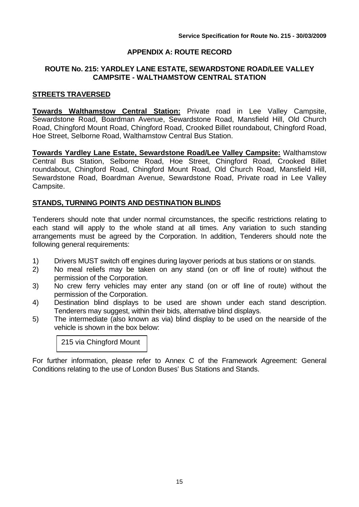# **APPENDIX A: ROUTE RECORD**

# **ROUTE No. 215: YARDLEY LANE ESTATE, SEWARDSTONE ROAD/LEE VALLEY CAMPSITE - WALTHAMSTOW CENTRAL STATION**

## **STREETS TRAVERSED**

**Towards Walthamstow Central Station:** Private road in Lee Valley Campsite, Sewardstone Road, Boardman Avenue, Sewardstone Road, Mansfield Hill, Old Church Road, Chingford Mount Road, Chingford Road, Crooked Billet roundabout, Chingford Road, Hoe Street, Selborne Road, Walthamstow Central Bus Station.

**Towards Yardley Lane Estate, Sewardstone Road/Lee Valley Campsite:** Walthamstow Central Bus Station, Selborne Road, Hoe Street, Chingford Road, Crooked Billet roundabout, Chingford Road, Chingford Mount Road, Old Church Road, Mansfield Hill, Sewardstone Road, Boardman Avenue, Sewardstone Road, Private road in Lee Valley Campsite.

## **STANDS, TURNING POINTS AND DESTINATION BLINDS**

Tenderers should note that under normal circumstances, the specific restrictions relating to each stand will apply to the whole stand at all times. Any variation to such standing arrangements must be agreed by the Corporation. In addition, Tenderers should note the following general requirements:

- 1) Drivers MUST switch off engines during layover periods at bus stations or on stands.
- 2) No meal reliefs may be taken on any stand (on or off line of route) without the permission of the Corporation.
- 3) No crew ferry vehicles may enter any stand (on or off line of route) without the permission of the Corporation.
- 4) Destination blind displays to be used are shown under each stand description. Tenderers may suggest, within their bids, alternative blind displays.
- 5) The intermediate (also known as via) blind display to be used on the nearside of the vehicle is shown in the box below:

215 via Chingford Mount

For further information, please refer to Annex C of the Framework Agreement: General Conditions relating to the use of London Buses' Bus Stations and Stands.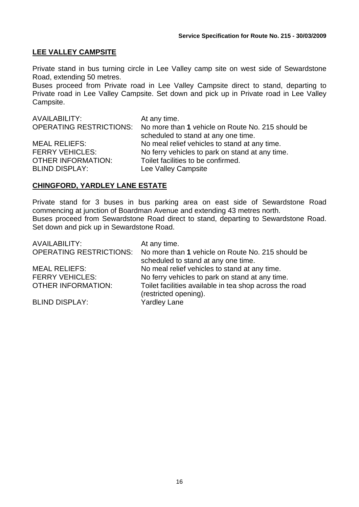# **LEE VALLEY CAMPSITE**

Private stand in bus turning circle in Lee Valley camp site on west side of Sewardstone Road, extending 50 metres.

Buses proceed from Private road in Lee Valley Campsite direct to stand, departing to Private road in Lee Valley Campsite. Set down and pick up in Private road in Lee Valley Campsite.

| AVAILABILITY:                  | At any time.                                      |
|--------------------------------|---------------------------------------------------|
| <b>OPERATING RESTRICTIONS:</b> | No more than 1 vehicle on Route No. 215 should be |
|                                | scheduled to stand at any one time.               |
| <b>MEAL RELIEFS:</b>           | No meal relief vehicles to stand at any time.     |
| <b>FERRY VEHICLES:</b>         | No ferry vehicles to park on stand at any time.   |
| <b>OTHER INFORMATION:</b>      | Toilet facilities to be confirmed.                |
| <b>BLIND DISPLAY:</b>          | Lee Valley Campsite                               |

#### **CHINGFORD, YARDLEY LANE ESTATE**

Private stand for 3 buses in bus parking area on east side of Sewardstone Road commencing at junction of Boardman Avenue and extending 43 metres north. Buses proceed from Sewardstone Road direct to stand, departing to Sewardstone Road. Set down and pick up in Sewardstone Road.

| <b>AVAILABILITY:</b>           | At any time.                                                                             |
|--------------------------------|------------------------------------------------------------------------------------------|
| <b>OPERATING RESTRICTIONS:</b> | No more than 1 vehicle on Route No. 215 should be<br>scheduled to stand at any one time. |
| <b>MEAL RELIEFS:</b>           | No meal relief vehicles to stand at any time.                                            |
| <b>FERRY VEHICLES:</b>         | No ferry vehicles to park on stand at any time.                                          |
| <b>OTHER INFORMATION:</b>      | Toilet facilities available in tea shop across the road<br>(restricted opening).         |
| <b>BLIND DISPLAY:</b>          | <b>Yardley Lane</b>                                                                      |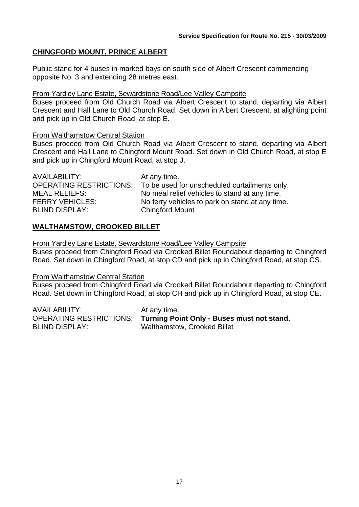# **CHINGFORD MOUNT, PRINCE ALBERT**

Public stand for 4 buses in marked bays on south side of Albert Crescent commencing opposite No. 3 and extending 28 metres east.

# From Yardley Lane Estate, Sewardstone Road/Lee Valley Campsite

Buses proceed from Old Church Road via Albert Crescent to stand, departing via Albert Crescent and Hall Lane to Old Church Road. Set down in Albert Crescent, at alighting point and pick up in Old Church Road, at stop E.

# From Walthamstow Central Station

Buses proceed from Old Church Road via Albert Crescent to stand, departing via Albert Crescent and Hall Lane to Chingford Mount Road. Set down in Old Church Road, at stop E and pick up in Chingford Mount Road, at stop J.

| AVAILABILITY:                  | At any time.                                    |
|--------------------------------|-------------------------------------------------|
| <b>OPERATING RESTRICTIONS:</b> | To be used for unscheduled curtailments only.   |
| <b>MEAL RELIEFS:</b>           | No meal relief vehicles to stand at any time.   |
| <b>FERRY VEHICLES:</b>         | No ferry vehicles to park on stand at any time. |
| <b>BLIND DISPLAY:</b>          | <b>Chingford Mount</b>                          |

# **WALTHAMSTOW, CROOKED BILLET**

From Yardley Lane Estate, Sewardstone Road/Lee Valley Campsite

Buses proceed from Chingford Road via Crooked Billet Roundabout departing to Chingford Road. Set down in Chingford Road, at stop CD and pick up in Chingford Road, at stop CS.

# From Walthamstow Central Station

Buses proceed from Chingford Road via Crooked Billet Roundabout departing to Chingford Road. Set down in Chingford Road, at stop CH and pick up in Chingford Road, at stop CE.

AVAILABILITY: At any time. BLIND DISPLAY: Walthamstow, Crooked Billet

OPERATING RESTRICTIONS: **Turning Point Only - Buses must not stand.**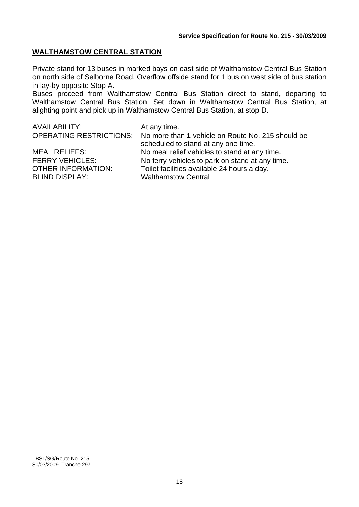# **WALTHAMSTOW CENTRAL STATION**

Private stand for 13 buses in marked bays on east side of Walthamstow Central Bus Station on north side of Selborne Road. Overflow offside stand for 1 bus on west side of bus station in lay-by opposite Stop A.

Buses proceed from Walthamstow Central Bus Station direct to stand, departing to Walthamstow Central Bus Station. Set down in Walthamstow Central Bus Station, at alighting point and pick up in Walthamstow Central Bus Station, at stop D.

AVAILABILITY: At any time. OPERATING RESTRICTIONS: No more than **1** vehicle on Route No. 215 should be scheduled to stand at any one time. MEAL RELIEFS: No meal relief vehicles to stand at any time. FERRY VEHICLES: No ferry vehicles to park on stand at any time. OTHER INFORMATION: Toilet facilities available 24 hours a day. BLIND DISPLAY: Walthamstow Central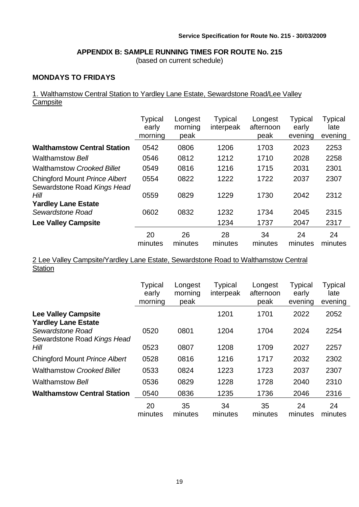# **APPENDIX B: SAMPLE RUNNING TIMES FOR ROUTE No. 215**

(based on current schedule)

# **MONDAYS TO FRIDAYS**

# 1. Walthamstow Central Station to Yardley Lane Estate, Sewardstone Road/Lee Valley **Campsite**

|                                                              | <b>Typical</b><br>early<br>morning | Longest<br>morning<br>peak | <b>Typical</b><br>interpeak | Longest<br>afternoon<br>peak | Typical<br>early<br>evening | <b>Typical</b><br>late<br>evening |
|--------------------------------------------------------------|------------------------------------|----------------------------|-----------------------------|------------------------------|-----------------------------|-----------------------------------|
| <b>Walthamstow Central Station</b>                           | 0542                               | 0806                       | 1206                        | 1703                         | 2023                        | 2253                              |
| <b>Walthamstow Bell</b>                                      | 0546                               | 0812                       | 1212                        | 1710                         | 2028                        | 2258                              |
| <b>Walthamstow Crooked Billet</b>                            | 0549                               | 0816                       | 1216                        | 1715                         | 2031                        | 2301                              |
| Chingford Mount Prince Albert<br>Sewardstone Road Kings Head | 0554                               | 0822                       | 1222                        | 1722                         | 2037                        | 2307                              |
| Hill                                                         | 0559                               | 0829                       | 1229                        | 1730                         | 2042                        | 2312                              |
| <b>Yardley Lane Estate</b>                                   |                                    |                            |                             |                              |                             |                                   |
| Sewardstone Road                                             | 0602                               | 0832                       | 1232                        | 1734                         | 2045                        | 2315                              |
| <b>Lee Valley Campsite</b>                                   |                                    |                            | 1234                        | 1737                         | 2047                        | 2317                              |
|                                                              | 20<br>minutes                      | 26<br>minutes              | 28<br>minutes               | 34<br>minutes                | 24<br>minutes               | 24<br>minutes                     |

2 Lee Valley Campsite/Yardley Lane Estate, Sewardstone Road to Walthamstow Central **Station** 

|                                                                               | <b>Typical</b><br>early<br>morning | Longest<br>morning<br>peak | <b>Typical</b><br>interpeak | Longest<br>afternoon<br>peak | <b>Typical</b><br>early<br>evening | <b>Typical</b><br>late<br>evening |
|-------------------------------------------------------------------------------|------------------------------------|----------------------------|-----------------------------|------------------------------|------------------------------------|-----------------------------------|
| <b>Lee Valley Campsite</b>                                                    |                                    |                            | 1201                        | 1701                         | 2022                               | 2052                              |
| <b>Yardley Lane Estate</b><br>Sewardstone Road<br>Sewardstone Road Kings Head | 0520                               | 0801                       | 1204                        | 1704                         | 2024                               | 2254                              |
| Hill                                                                          | 0523                               | 0807                       | 1208                        | 1709                         | 2027                               | 2257                              |
| <b>Chingford Mount Prince Albert</b>                                          | 0528                               | 0816                       | 1216                        | 1717                         | 2032                               | 2302                              |
| <b>Walthamstow Crooked Billet</b>                                             | 0533                               | 0824                       | 1223                        | 1723                         | 2037                               | 2307                              |
| <b>Walthamstow Bell</b>                                                       | 0536                               | 0829                       | 1228                        | 1728                         | 2040                               | 2310                              |
| <b>Walthamstow Central Station</b>                                            | 0540                               | 0836                       | 1235                        | 1736                         | 2046                               | 2316                              |
|                                                                               | 20<br>minutes                      | 35<br>minutes              | 34<br>minutes               | 35<br>minutes                | 24<br>minutes                      | 24<br>minutes                     |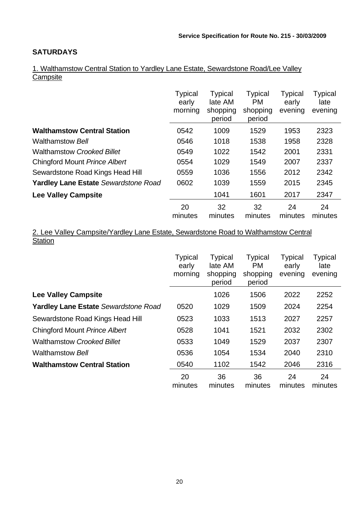# **SATURDAYS**

1. Walthamstow Central Station to Yardley Lane Estate, Sewardstone Road/Lee Valley **Campsite** 

|                                             | <b>Typical</b><br>early<br>morning | <b>Typical</b><br>late AM<br>shopping<br>period | <b>Typical</b><br>PM.<br>shopping<br>period | Typical<br>early<br>evening | <b>Typical</b><br>late<br>evening |
|---------------------------------------------|------------------------------------|-------------------------------------------------|---------------------------------------------|-----------------------------|-----------------------------------|
| <b>Walthamstow Central Station</b>          | 0542                               | 1009                                            | 1529                                        | 1953                        | 2323                              |
| <b>Walthamstow Bell</b>                     | 0546                               | 1018                                            | 1538                                        | 1958                        | 2328                              |
| <b>Walthamstow Crooked Billet</b>           | 0549                               | 1022                                            | 1542                                        | 2001                        | 2331                              |
| Chingford Mount Prince Albert               | 0554                               | 1029                                            | 1549                                        | 2007                        | 2337                              |
| Sewardstone Road Kings Head Hill            | 0559                               | 1036                                            | 1556                                        | 2012                        | 2342                              |
| <b>Yardley Lane Estate Sewardstone Road</b> | 0602                               | 1039                                            | 1559                                        | 2015                        | 2345                              |
| <b>Lee Valley Campsite</b>                  |                                    | 1041                                            | 1601                                        | 2017                        | 2347                              |
|                                             | 20<br>minutes                      | 32<br>minutes                                   | 32<br>minutes                               | 24<br>minutes               | 24<br>minutes                     |

2. Lee Valley Campsite/Yardley Lane Estate, Sewardstone Road to Walthamstow Central **Station** 

|                                             | <b>Typical</b><br>early<br>morning | <b>Typical</b><br>late AM<br>shopping<br>period | <b>Typical</b><br>PM.<br>shopping<br>period | Typical<br>early<br>evening | <b>Typical</b><br>late<br>evening |
|---------------------------------------------|------------------------------------|-------------------------------------------------|---------------------------------------------|-----------------------------|-----------------------------------|
| <b>Lee Valley Campsite</b>                  |                                    | 1026                                            | 1506                                        | 2022                        | 2252                              |
| <b>Yardley Lane Estate Sewardstone Road</b> | 0520                               | 1029                                            | 1509                                        | 2024                        | 2254                              |
| Sewardstone Road Kings Head Hill            | 0523                               | 1033                                            | 1513                                        | 2027                        | 2257                              |
| Chingford Mount Prince Albert               | 0528                               | 1041                                            | 1521                                        | 2032                        | 2302                              |
| <b>Walthamstow Crooked Billet</b>           | 0533                               | 1049                                            | 1529                                        | 2037                        | 2307                              |
| <b>Walthamstow Bell</b>                     | 0536                               | 1054                                            | 1534                                        | 2040                        | 2310                              |
| <b>Walthamstow Central Station</b>          | 0540                               | 1102                                            | 1542                                        | 2046                        | 2316                              |
|                                             | 20<br>minutes                      | 36<br>minutes                                   | 36<br>minutes                               | 24<br>minutes               | 24<br>minutes                     |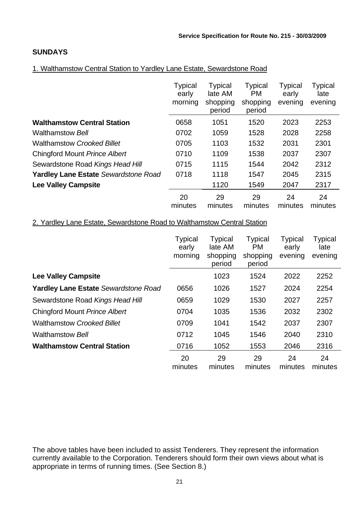# **SUNDAYS**

# 1. Walthamstow Central Station to Yardley Lane Estate, Sewardstone Road

|                                             | <b>Typical</b><br>early<br>morning | <b>Typical</b><br>late AM<br>shopping<br>period | <b>Typical</b><br><b>PM</b><br>shopping<br>period | <b>Typical</b><br>early<br>evening | <b>Typical</b><br>late<br>evening |
|---------------------------------------------|------------------------------------|-------------------------------------------------|---------------------------------------------------|------------------------------------|-----------------------------------|
| <b>Walthamstow Central Station</b>          | 0658                               | 1051                                            | 1520                                              | 2023                               | 2253                              |
| <b>Walthamstow Bell</b>                     | 0702                               | 1059                                            | 1528                                              | 2028                               | 2258                              |
| <b>Walthamstow Crooked Billet</b>           | 0705                               | 1103                                            | 1532                                              | 2031                               | 2301                              |
| <b>Chingford Mount Prince Albert</b>        | 0710                               | 1109                                            | 1538                                              | 2037                               | 2307                              |
| Sewardstone Road Kings Head Hill            | 0715                               | 1115                                            | 1544                                              | 2042                               | 2312                              |
| <b>Yardley Lane Estate Sewardstone Road</b> | 0718                               | 1118                                            | 1547                                              | 2045                               | 2315                              |
| <b>Lee Valley Campsite</b>                  |                                    | 1120                                            | 1549                                              | 2047                               | 2317                              |
|                                             | 20<br>minutes                      | 29<br>minutes                                   | 29<br>minutes                                     | 24<br>minutes                      | 24<br>minutes                     |

# 2. Yardley Lane Estate, Sewardstone Road to Walthamstow Central Station

|                                      | <b>Typical</b><br>early<br>morning | <b>Typical</b><br>late AM<br>shopping<br>period | <b>Typical</b><br><b>PM</b><br>shopping<br>period | <b>Typical</b><br>early<br>evening | <b>Typical</b><br>late<br>evening |
|--------------------------------------|------------------------------------|-------------------------------------------------|---------------------------------------------------|------------------------------------|-----------------------------------|
| <b>Lee Valley Campsite</b>           |                                    | 1023                                            | 1524                                              | 2022                               | 2252                              |
| Yardley Lane Estate Sewardstone Road | 0656                               | 1026                                            | 1527                                              | 2024                               | 2254                              |
| Sewardstone Road Kings Head Hill     | 0659                               | 1029                                            | 1530                                              | 2027                               | 2257                              |
| <b>Chingford Mount Prince Albert</b> | 0704                               | 1035                                            | 1536                                              | 2032                               | 2302                              |
| <b>Walthamstow Crooked Billet</b>    | 0709                               | 1041                                            | 1542                                              | 2037                               | 2307                              |
| <b>Walthamstow Bell</b>              | 0712                               | 1045                                            | 1546                                              | 2040                               | 2310                              |
| <b>Walthamstow Central Station</b>   | 0716                               | 1052                                            | 1553                                              | 2046                               | 2316                              |
|                                      | 20<br>minutes                      | 29<br>minutes                                   | 29<br>minutes                                     | 24<br>minutes                      | 24<br>minutes                     |

The above tables have been included to assist Tenderers. They represent the information currently available to the Corporation. Tenderers should form their own views about what is appropriate in terms of running times. (See Section 8.)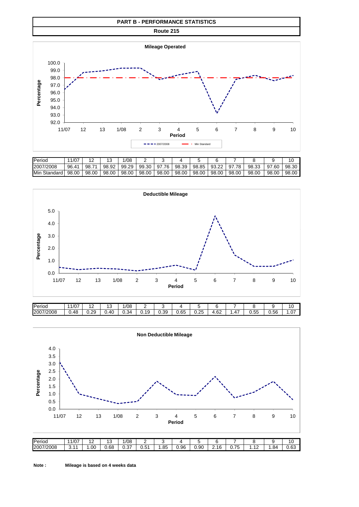#### **PART B - PERFORMANCE STATISTICS**

**Route 215**



| Period                 | 1/07<br>. .          | $\sim$                          |       | /08   |       |          |       |       |       |           |       |       |       |
|------------------------|----------------------|---------------------------------|-------|-------|-------|----------|-------|-------|-------|-----------|-------|-------|-------|
| 2007/2008              | 96.<br>$.4^{\prime}$ | $\overline{\phantom{a}}$<br>98. | 98.92 | 99.29 | 99.30 | 76<br>97 | 98.39 | 98.85 | 93.22 | .78<br>97 | 98.33 | 97.60 | 98.30 |
| <b>Min</b><br>Standard | 98.00                | 98.00                           | 98.00 | 98.00 | 98.00 | 98.00    | 98.00 | 98.00 | 98.00 | 98.00     | 98.00 | 98.00 | 98.00 |



| Period    | 1/07 | $\sim$ | $\overline{ }$<br>J | 1/08 | -    |      |            |            |            |                                          |                            |                | . .<br>16 |
|-----------|------|--------|---------------------|------|------|------|------------|------------|------------|------------------------------------------|----------------------------|----------------|-----------|
| 2007/2008 | 0.48 | 0.29   | .40                 | J.34 | 0.19 | 0.39 | 65<br>v.uJ | つら<br>∪.∠∪ | ഹ<br>، U۷. | $\overline{\phantom{0}}$<br>$\prime$<br> | $\sim$ $ -$<br>א ו<br>v.vu | $\sim$<br>0.56 | .07       |